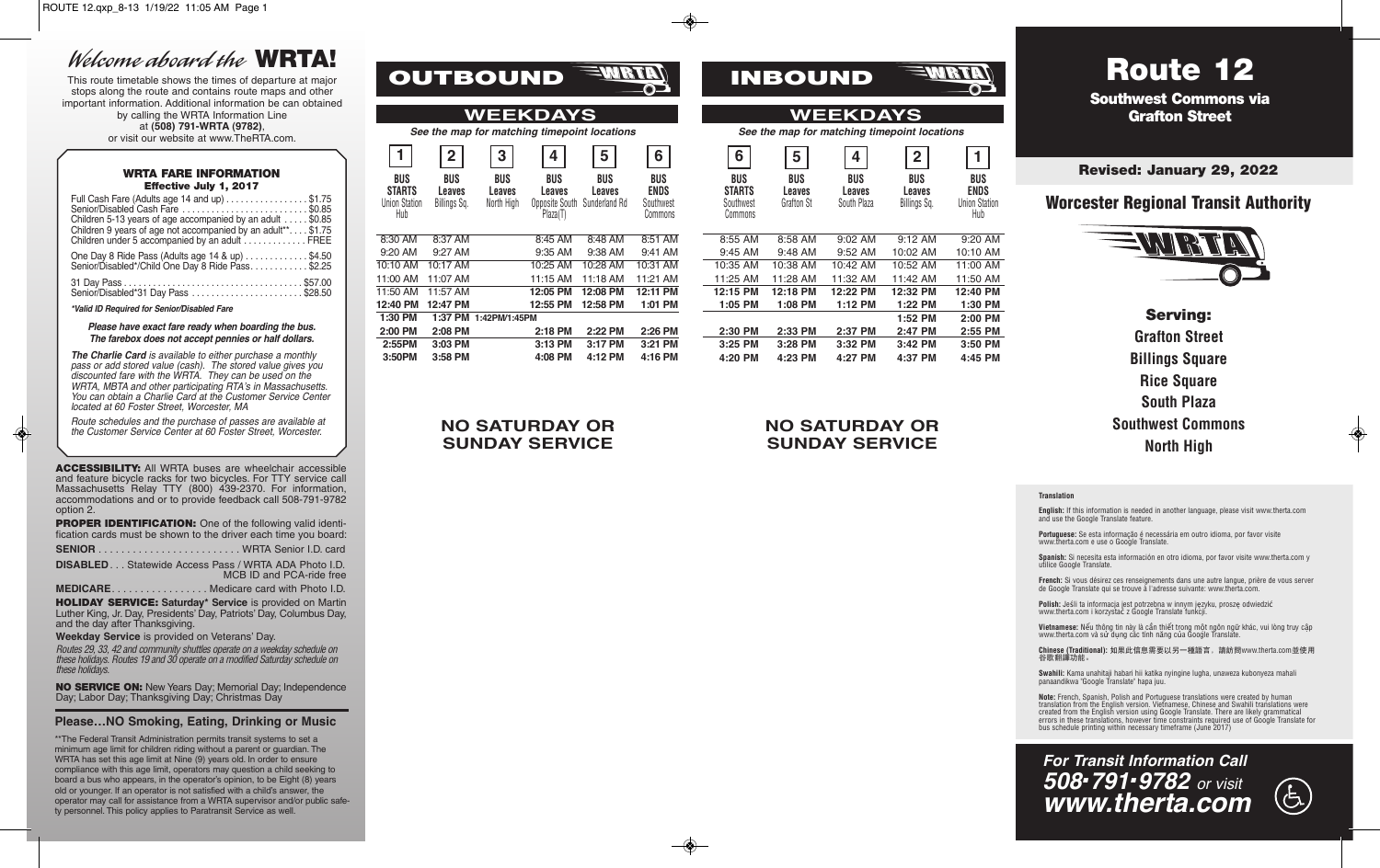## Welcome aboard the **WRTA!**

This route timetable shows the times of departure at major stops along the route and contains route maps and other important information. Additional information be can obtained by calling the WRTA Information Line at **(508) 791-WRTA (9782)**, or visit our website at www.TheRTA.com.

#### **WRTA FARE INFORMATION Effective July 1, 2017**

| Full Cash Fare (Adults age 14 and up) \$1.75<br>Senior/Disabled Cash Fare  \$0.85<br>Children 5-13 years of age accompanied by an adult \$0.85<br>Children 9 years of age not accompanied by an adult**\$1.75<br>Children under 5 accompanied by an adult  FREE |  |
|-----------------------------------------------------------------------------------------------------------------------------------------------------------------------------------------------------------------------------------------------------------------|--|
| One Day 8 Ride Pass (Adults age 14 & up) \$4.50<br>Senior/Disabled*/Child One Day 8 Ride Pass\$2.25                                                                                                                                                             |  |
| Senior/Disabled*31 Day Pass \$28.50                                                                                                                                                                                                                             |  |

*\*Valid ID Required for Senior/Disabled Fare* 

#### *Please have exact fare ready when boarding the bus. The farebox does not accept pennies or half dollars.*

*The Charlie Card is available to either purchase a monthly pass or add stored value (cash). The stored value gives you discounted fare with the WRTA. They can be used on the WRTA, MBTA and other participating RTA*'*s in Massachusetts. You can obtain a Charlie Card at the Customer Service Center located at 60 Foster Street, Worcester, MA* 

*Route schedules and the purchase of passes are available at the Customer Service Center at 60 Foster Street, Worcester.* 

**ACCESSIBILITY:** All WRTA buses are wheelchair accessible and feature bicycle racks for two bicycles. For TTY service call Massachusetts Relay TTY (800) 439-2370. For information, accommodations and or to provide feedback call 508-791-9782 option 2.

**PROPER IDENTIFICATION:** One of the following valid identification cards must be shown to the driver each time you board:

| <b>DISABLED</b> Statewide Access Pass / WRTA ADA Photo I.D. | MCB ID and PCA-ride free |
|-------------------------------------------------------------|--------------------------|
|                                                             |                          |

**MEDICARE**. . . . . . . . . . . . . . . . . Medicare card with Photo I.D.

**HOLIDAY SERVICE: Saturday\* Service** is provided on Martin Luther King, Jr. Day, Presidents' Day, Patriots' Day, Columbus Day, and the day after Thanksgiving.

**Weekday Service** is provided on Veterans' Day.

Routes 29, 33, 42 and community shuttles operate on a weekday schedule on these holidays. Routes 19 and 30 operate on a modified Saturday schedule on these holidays.

**NO SERVICE ON:** New Years Day; Memorial Day; Independence Day; Labor Day; Thanksgiving Day; Christmas Day

### **Please…NO Smoking, Eating, Drinking or Music**

\*\*The Federal Transit Administration permits transit systems to set a minimum age limit for children riding without a parent or guardian. The WRTA has set this age limit at Nine (9) years old. In order to ensure compliance with this age limit, operators may question a child seeking to board a bus who appears, in the operator's opinion, to be Eight (8) years old or younger. If an operator is not satisfied with a child's answer, the operator may call for assistance from a WRTA supervisor and/or public safety personnel. This policy applies to Paratransit Service as well.

| OUTBOUND! |  |
|-----------|--|
|           |  |

### *See the map for matching timepoint locations See the map for matching timepoint locations* **WEEKDAYS**

| 1                                                   | 2                                    | 3                                  | 4                                                                | 5             | 6                                                 |
|-----------------------------------------------------|--------------------------------------|------------------------------------|------------------------------------------------------------------|---------------|---------------------------------------------------|
| BUS<br><b>STARTS</b><br><b>Union Station</b><br>Hub | <b>BUS</b><br>Leaves<br>Billings Sq. | <b>BUS</b><br>Leaves<br>North High | <b>BUS</b><br>Leaves<br>Opposite South Sunderland Rd<br>Plaza(T) | BUS<br>Leaves | <b>BUS</b><br><b>ENDS</b><br>Southwest<br>Commons |
| 8:30 AM                                             | 8:37 AM                              |                                    | 8:45 AM                                                          | 8:48 AM       | $8:51$ AM                                         |
| $9:20$ AM                                           | 9:27 AM                              |                                    | $9:35$ AM                                                        | 9:38 AM       | 9:41 AM                                           |
| 10:10 AM                                            | 10:17 AM                             |                                    | 10:25 AM                                                         | 10:28 AM      | 10:31 AM                                          |
| 11:00 AM                                            | 11:07 AM                             |                                    | 11:15 AM                                                         | 11:18 AM      | 11:21 AM                                          |
| 11:50 AM                                            | 11:57 AM                             |                                    | 12:05 PM                                                         | 12:08 PM      | 12:11 PM                                          |
| 12:40 PM                                            | 12:47 PM                             |                                    | 12:55 PM                                                         | 12:58 PM      | 1:01 PM                                           |
| 1:30 PM                                             | 1:37 PM                              | 1:42PM/1:45PM                      |                                                                  |               |                                                   |
| 2:00 PM                                             | 2:08 PM                              |                                    | 2:18 PM                                                          | 2:22 PM       | 2:26 PM                                           |
| 2:55PM                                              | 3:03 PM                              |                                    | 3:13 PM                                                          | 3:17 PM       | $3:21$ PM                                         |
| 3:50PM                                              | 3:58 PM                              |                                    | 4:08 PM                                                          | 4:12 PM       | 4:16 PM                                           |

### **NO SATURDAY OR SUNDAY SERVICE**

# **INBOUND**

# **WEEKDAYS**<br>See the map for matching timepoint locations

| $\overline{2}$        | 3                           | 4                                                  | 5                              | 6                                                 | 6                                                   | 5                                  | 4                            | $\overline{2}$                |                                                          |
|-----------------------|-----------------------------|----------------------------------------------------|--------------------------------|---------------------------------------------------|-----------------------------------------------------|------------------------------------|------------------------------|-------------------------------|----------------------------------------------------------|
| ЮS<br>aves<br>ngs Sq. | BUS<br>Leaves<br>North High | BUS<br>Leaves<br><b>Opposite South</b><br>Plaza(T) | BUS<br>Leaves<br>Sunderland Rd | <b>BUS</b><br><b>ENDS</b><br>Southwest<br>Commons | <b>BUS</b><br><b>STARTS</b><br>Southwest<br>Commons | BUS<br>Leaves<br><b>Grafton St</b> | BUS<br>Leaves<br>South Plaza | BUS<br>Leaves<br>Billings Sq. | <b>BUS</b><br><b>ENDS</b><br><b>Union Station</b><br>Hub |
| 7 AM                  |                             | 8:45 AM                                            | 8:48 AM                        | 8:51 AM                                           | 8:55 AM                                             | 8:58 AM                            | 9:02 AM                      | $9:12$ AM                     | 9:20 AM                                                  |
| 7 AM                  |                             | 9:35 AM                                            | 9:38 AM                        | 9:41 AM                                           | 9:45 AM                                             | 9:48 AM                            | 9:52 AM                      | 10:02 AM                      | 10:10 AM                                                 |
| 7AM                   |                             | 10:25 AM                                           | 10:28 AM                       | 10:31 AM                                          | 10:35 AM                                            | 10:38 AM                           | 10:42 AM                     | 10:52 AM                      | 11:00 AM                                                 |
| 7 AM                  |                             | 11:15 AM                                           | 11:18 AM                       | 11:21 AM                                          | 11:25 AM                                            | 11:28 AM                           | 11:32 AM                     | 11:42 AM                      | 11:50 AM                                                 |
| 7 AM                  |                             | 12:05 PM                                           | 12:08 PM                       | 12:11 PM                                          | 12:15 PM                                            | 12:18 PM                           | 12:22 PM                     | 12:32 PM                      | 12:40 PM                                                 |
| 7 PM                  |                             | 12:55 PM                                           | 12:58 PM                       | 1:01 PM                                           | 1:05 PM                                             | 1:08 PM                            | 1:12 PM                      | 1:22 PM                       | 1:30 PM                                                  |
| 7 PM                  | 1:42PM/1:45PM               |                                                    |                                |                                                   |                                                     |                                    |                              | 1:52 PM                       | 2:00 PM                                                  |
| 8 PM                  |                             | 2:18 PM                                            | 2:22 PM                        | 2:26 PM                                           | 2:30 PM                                             | 2:33 PM                            | 2:37 PM                      | 2:47 PM                       | 2:55 PM                                                  |
| 3 PM                  |                             | 3:13 PM                                            | 3:17 PM                        | 3:21 PM                                           | 3:25 PM                                             | $3:28$ PM                          | 3:32 PM                      | 3:42 PM                       | 3:50 PM                                                  |
| 8 PM                  |                             | 4:08 PM                                            | 4:12 PM                        | 4:16 PM                                           | 4:20 PM                                             | 4:23 PM                            | 4:27 PM                      | 4:37 PM                       | 4:45 PM                                                  |
|                       |                             |                                                    |                                |                                                   |                                                     |                                    |                              |                               |                                                          |

**NO SATURDAY OR SUNDAY SERVICE**

### **Southwest Commons via Grafton Street**

**Revised: January 29, 2022**

**Route 12** 

## **Worcester Regional Transit Authority**



**Serving: Grafton Street Billings Square Rice Square South Plaza Southwest Commons North High**

#### **Translation**

**English:** If this information is needed in another language, please visit www.therta.com and use the Google Translate feature.

**Portuguese:** Se esta informação é necessária em outro idioma, por favor visite www.therta.com e use o Google Translate.

**Spanish:** Si necesita esta información en otro idioma, por favor visite www.therta.com y utilice Google Translate.

**French:** Si vous désirez ces renseignements dans une autre langue, prière de vous server de Google Translate qui se trouve à l'adresse suivante: www.therta.com.

**Polish:** Jeśli ta informacja jest potrzebna w innym języku, proszę odwiedzić www.therta.com i korzystać z Google Translate funkcji.

**Vietnamese:** Nếu thông tin này là cần thiết trong một ngôn ngữ khác, vui lòng truy cập www.therta.com và sử dụng các tính năng của Google Translate

**Chinese (Traditional):** 如果此信息需要以另一種語言,請訪問www.therta.com並使用 谷歌翻譯功能。

**Swahili:** Kama unahitaji habari hii katika nyingine lugha, unaweza kubonyeza mahali panaandikwa "Google Translate" hapa juu.

**Note:** French, Spanish, Polish and Portuguese translations were created by human translation from the English version. Vietnamese, Chinese and Swahili translations were created from the English version using Google Translate. There are likely grammatical errors in these translations, however time constraints required use of Google Translate for bus schedule printing within necessary timeframe (June 2017)

## *For Transit Information Call 508.791.9782 or visit www.therta.com*